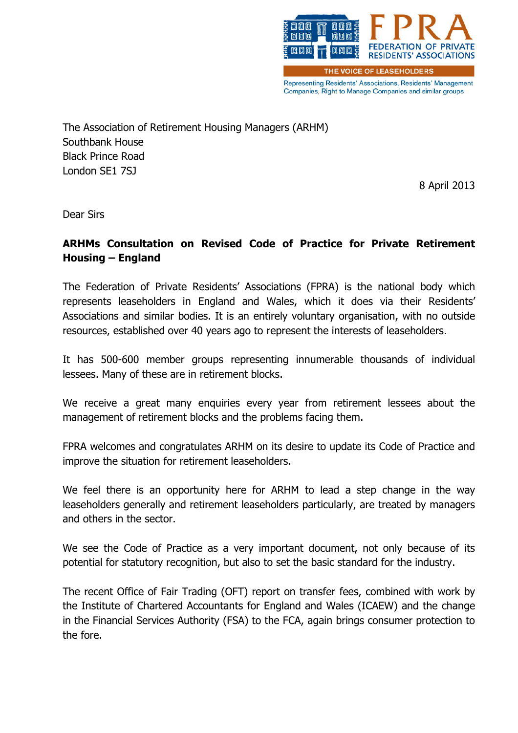

Representing Residents' Associations, Residents' Management Companies, Right to Manage Companies and similar groups

The Association of Retirement Housing Managers (ARHM) Southbank House Black Prince Road London SE1 7SJ

8 April 2013

Dear Sirs

#### ARHMs Consultation on Revised Code of Practice for Private Retirement Housing – England

The Federation of Private Residents' Associations (FPRA) is the national body which represents leaseholders in England and Wales, which it does via their Residents' Associations and similar bodies. It is an entirely voluntary organisation, with no outside resources, established over 40 years ago to represent the interests of leaseholders.

It has 500-600 member groups representing innumerable thousands of individual lessees. Many of these are in retirement blocks.

We receive a great many enquiries every year from retirement lessees about the management of retirement blocks and the problems facing them.

FPRA welcomes and congratulates ARHM on its desire to update its Code of Practice and improve the situation for retirement leaseholders.

We feel there is an opportunity here for ARHM to lead a step change in the way leaseholders generally and retirement leaseholders particularly, are treated by managers and others in the sector.

We see the Code of Practice as a very important document, not only because of its potential for statutory recognition, but also to set the basic standard for the industry.

The recent Office of Fair Trading (OFT) report on transfer fees, combined with work by the Institute of Chartered Accountants for England and Wales (ICAEW) and the change in the Financial Services Authority (FSA) to the FCA, again brings consumer protection to the fore.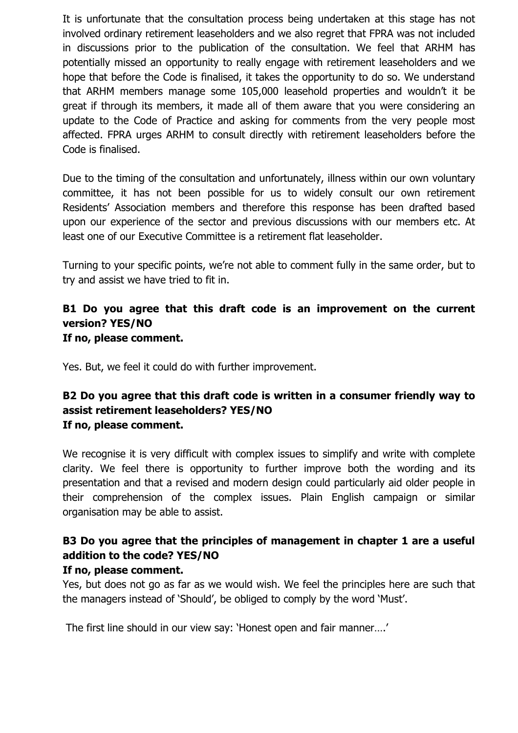It is unfortunate that the consultation process being undertaken at this stage has not involved ordinary retirement leaseholders and we also regret that FPRA was not included in discussions prior to the publication of the consultation. We feel that ARHM has potentially missed an opportunity to really engage with retirement leaseholders and we hope that before the Code is finalised, it takes the opportunity to do so. We understand that ARHM members manage some 105,000 leasehold properties and wouldn't it be great if through its members, it made all of them aware that you were considering an update to the Code of Practice and asking for comments from the very people most affected. FPRA urges ARHM to consult directly with retirement leaseholders before the Code is finalised.

Due to the timing of the consultation and unfortunately, illness within our own voluntary committee, it has not been possible for us to widely consult our own retirement Residents' Association members and therefore this response has been drafted based upon our experience of the sector and previous discussions with our members etc. At least one of our Executive Committee is a retirement flat leaseholder.

Turning to your specific points, we're not able to comment fully in the same order, but to try and assist we have tried to fit in.

#### B1 Do you agree that this draft code is an improvement on the current version? YES/NO If no, please comment.

Yes. But, we feel it could do with further improvement.

### B2 Do you agree that this draft code is written in a consumer friendly way to assist retirement leaseholders? YES/NO If no, please comment.

We recognise it is very difficult with complex issues to simplify and write with complete clarity. We feel there is opportunity to further improve both the wording and its presentation and that a revised and modern design could particularly aid older people in their comprehension of the complex issues. Plain English campaign or similar organisation may be able to assist.

# B3 Do you agree that the principles of management in chapter 1 are a useful addition to the code? YES/NO

#### If no, please comment.

Yes, but does not go as far as we would wish. We feel the principles here are such that the managers instead of 'Should', be obliged to comply by the word 'Must'.

The first line should in our view say: 'Honest open and fair manner….'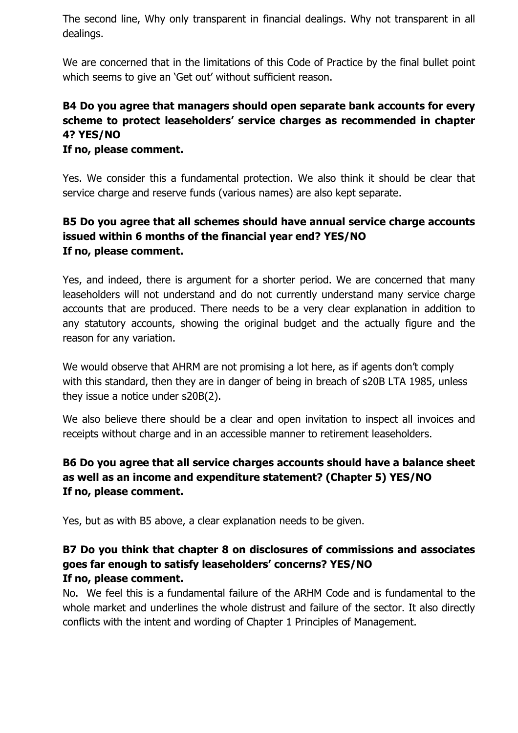The second line, Why only transparent in financial dealings. Why not transparent in all dealings.

We are concerned that in the limitations of this Code of Practice by the final bullet point which seems to give an 'Get out' without sufficient reason.

## B4 Do you agree that managers should open separate bank accounts for every scheme to protect leaseholders' service charges as recommended in chapter 4? YES/NO

#### If no, please comment.

Yes. We consider this a fundamental protection. We also think it should be clear that service charge and reserve funds (various names) are also kept separate.

### B5 Do you agree that all schemes should have annual service charge accounts issued within 6 months of the financial year end? YES/NO If no, please comment.

Yes, and indeed, there is argument for a shorter period. We are concerned that many leaseholders will not understand and do not currently understand many service charge accounts that are produced. There needs to be a very clear explanation in addition to any statutory accounts, showing the original budget and the actually figure and the reason for any variation.

We would observe that AHRM are not promising a lot here, as if agents don't comply with this standard, then they are in danger of being in breach of s20B LTA 1985, unless they issue a notice under s20B(2).

We also believe there should be a clear and open invitation to inspect all invoices and receipts without charge and in an accessible manner to retirement leaseholders.

#### B6 Do you agree that all service charges accounts should have a balance sheet as well as an income and expenditure statement? (Chapter 5) YES/NO If no, please comment.

Yes, but as with B5 above, a clear explanation needs to be given.

#### B7 Do you think that chapter 8 on disclosures of commissions and associates goes far enough to satisfy leaseholders' concerns? YES/NO If no, please comment.

No. We feel this is a fundamental failure of the ARHM Code and is fundamental to the whole market and underlines the whole distrust and failure of the sector. It also directly conflicts with the intent and wording of Chapter 1 Principles of Management.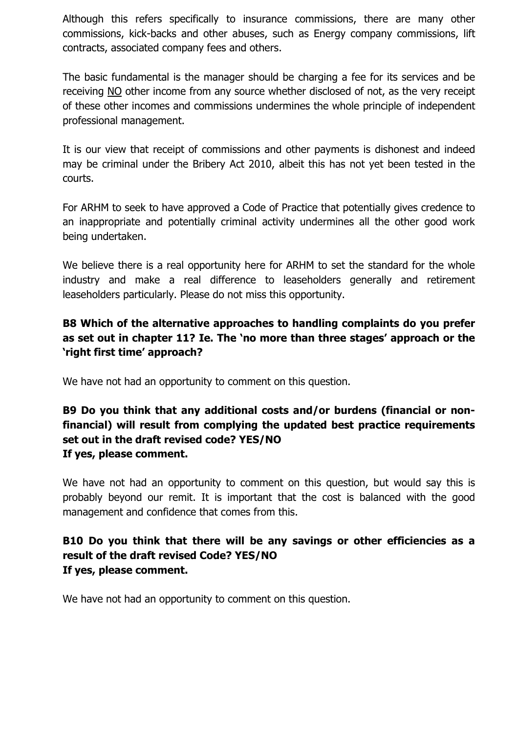Although this refers specifically to insurance commissions, there are many other commissions, kick-backs and other abuses, such as Energy company commissions, lift contracts, associated company fees and others.

The basic fundamental is the manager should be charging a fee for its services and be receiving NO other income from any source whether disclosed of not, as the very receipt of these other incomes and commissions undermines the whole principle of independent professional management.

It is our view that receipt of commissions and other payments is dishonest and indeed may be criminal under the Bribery Act 2010, albeit this has not yet been tested in the courts.

For ARHM to seek to have approved a Code of Practice that potentially gives credence to an inappropriate and potentially criminal activity undermines all the other good work being undertaken.

We believe there is a real opportunity here for ARHM to set the standard for the whole industry and make a real difference to leaseholders generally and retirement leaseholders particularly. Please do not miss this opportunity.

### B8 Which of the alternative approaches to handling complaints do you prefer as set out in chapter 11? Ie. The 'no more than three stages' approach or the 'right first time' approach?

We have not had an opportunity to comment on this question.

### B9 Do you think that any additional costs and/or burdens (financial or nonfinancial) will result from complying the updated best practice requirements set out in the draft revised code? YES/NO If yes, please comment.

We have not had an opportunity to comment on this question, but would say this is probably beyond our remit. It is important that the cost is balanced with the good management and confidence that comes from this.

## B10 Do you think that there will be any savings or other efficiencies as a result of the draft revised Code? YES/NO If yes, please comment.

We have not had an opportunity to comment on this question.